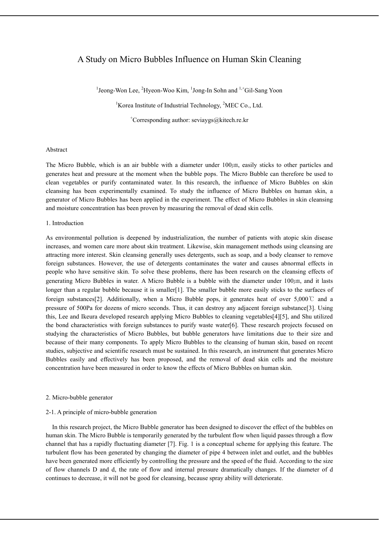# A Study on Micro Bubbles Influence on Human Skin Cleaning

<sup>1</sup>Jeong-Won Lee, <sup>2</sup>Hyeon-Woo Kim, <sup>1</sup>Jong-In Sohn and <sup>1,+</sup>Gil-Sang Yoon

<sup>1</sup>Korea Institute of Industrial Technology,  ${}^{2}$ MEC Co., Ltd.

<sup>+</sup>Corresponding author: seviaygs@kitech.re.kr

## Abstract

The Micro Bubble, which is an air bubble with a diameter under  $100 \mu m$ , easily sticks to other particles and generates heat and pressure at the moment when the bubble pops. The Micro Bubble can therefore be used to clean vegetables or purify contaminated water. In this research, the influence of Micro Bubbles on skin cleansing has been experimentally examined. To study the influence of Micro Bubbles on human skin, a generator of Micro Bubbles has been applied in the experiment. The effect of Micro Bubbles in skin cleansing and moisture concentration has been proven by measuring the removal of dead skin cells.

## 1. Introduction

As environmental pollution is deepened by industrialization, the number of patients with atopic skin disease increases, and women care more about skin treatment. Likewise, skin management methods using cleansing are attracting more interest. Skin cleansing generally uses detergents, such as soap, and a body cleanser to remove foreign substances. However, the use of detergents contaminates the water and causes abnormal effects in people who have sensitive skin. To solve these problems, there has been research on the cleansing effects of generating Micro Bubbles in water. A Micro Bubble is a bubble with the diameter under  $100/\text{nm}$ , and it lasts longer than a regular bubble because it is smaller[1]. The smaller bubble more easily sticks to the surfaces of foreign substances[2]. Additionally, when a Micro Bubble pops, it generates heat of over 5,000℃ and a pressure of 500Pa for dozens of micro seconds. Thus, it can destroy any adjacent foreign substance[3]. Using this, Lee and Ikeura developed research applying Micro Bubbles to cleaning vegetables[4][5], and Shu utilized the bond characteristics with foreign substances to purify waste water[6]. These research projects focused on studying the characteristics of Micro Bubbles, but bubble generators have limitations due to their size and because of their many components. To apply Micro Bubbles to the cleansing of human skin, based on recent studies, subjective and scientific research must be sustained. In this research, an instrument that generates Micro Bubbles easily and effectively has been proposed, and the removal of dead skin cells and the moisture concentration have been measured in order to know the effects of Micro Bubbles on human skin.

### 2. Micro-bubble generator

## 2-1. A principle of micro-bubble generation

In this research project, the Micro Bubble generator has been designed to discover the effect of the bubbles on human skin. The Micro Bubble is temporarily generated by the turbulent flow when liquid passes through a flow channel that has a rapidly fluctuating diameter [7]. Fig. 1 is a conceptual scheme for applying this feature. The turbulent flow has been generated by changing the diameter of pipe 4 between inlet and outlet, and the bubbles have been generated more efficiently by controlling the pressure and the speed of the fluid. According to the size of flow channels D and d, the rate of flow and internal pressure dramatically changes. If the diameter of d continues to decrease, it will not be good for cleansing, because spray ability will deteriorate.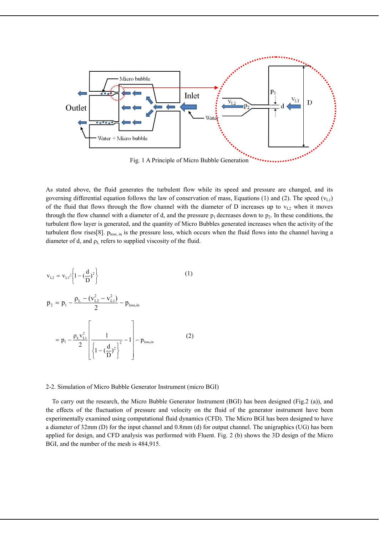

Fig. 1 A Principle of Micro Bubble Generation

As stated above, the fluid generates the turbulent flow while its speed and pressure are changed, and its governing differential equation follows the law of conservation of mass, Equations (1) and (2). The speed ( $v<sub>L1</sub>$ ) of the fluid that flows through the flow channel with the diameter of D increases up to  $v_{L2}$  when it moves through the flow channel with a diameter of d, and the pressure  $p_1$  decreases down to  $p_2$ . In these conditions, the turbulent flow layer is generated, and the quantity of Micro Bubbles generated increases when the activity of the turbulent flow rises[8].  $p<sub>loss, in</sub>$  is the pressure loss, which occurs when the fluid flows into the channel having a diameter of d, and  $\rho_L$  refers to supplied viscosity of the fluid.

$$
v_{L2} = v_{L1}/\left\{1 - \left(\frac{d}{D}\right)^2\right\}
$$
\n
$$
p_2 = p_1 - \frac{p_L - (v_{L2}^2 - v_{L1}^2)}{2} - p_{loss,in}
$$
\n
$$
= p_1 - \frac{p_L v_{L1}^2}{2} \left[ \frac{1}{\left\{1 - \left(\frac{d}{D}\right)^2\right\}}^2 - 1 \right] - p_{loss,in}
$$
\n(2)

### 2-2. Simulation of Micro Bubble Generator Instrument (micro BGI)

To carry out the research, the Micro Bubble Generator Instrument (BGI) has been designed (Fig.2 (a)), and the effects of the fluctuation of pressure and velocity on the fluid of the generator instrument have been experimentally examined using computational fluid dynamics (CFD). The Micro BGI has been designed to have a diameter of 32mm (D) for the input channel and 0.8mm (d) for output channel. The unigraphics (UG) has been applied for design, and CFD analysis was performed with Fluent. Fig. 2 (b) shows the 3D design of the Micro BGI, and the number of the mesh is 484,915.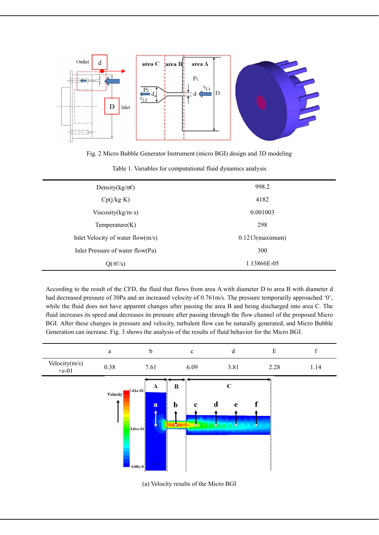

Fig. 2 Micro Bubble Generator Instrument (micro BGI) design and 3D modeling

| Density $(kg/m^3)$                    | 998.2              |
|---------------------------------------|--------------------|
| Cp(j/kg K)                            | 4182               |
| Viscosity(kg/m·s)                     | 0.001003           |
| Temperature(K)                        | 298                |
| Inlet Velocity of water flow( $m/s$ ) | $0.1213$ (maximum) |
| Inlet Pressure of water flow(Pa)      | 300                |
| $Q(m^3/s)$                            | 1.13866E-05        |

According to the result of the CFD, the fluid that flows from area A with diameter D to area B with diameter d had decreased pressure of 30Pa and an increased velocity of 0.761m/s. The pressure temporarily approached '0', while the fluid does not have apparent changes after passing the area B and being discharged into area C. The fluid increases its speed and decreases its pressure after passing through the flow channel of the proposed Micro BGI. After these changes in pressure and velocity, turbulent flow can be naturally generated, and Micro Bubble Generation can increase. Fig. 3 shows the analysis of the results of fluid behavior for the Micro BGI.



(a) Velocity results of the Micro BGI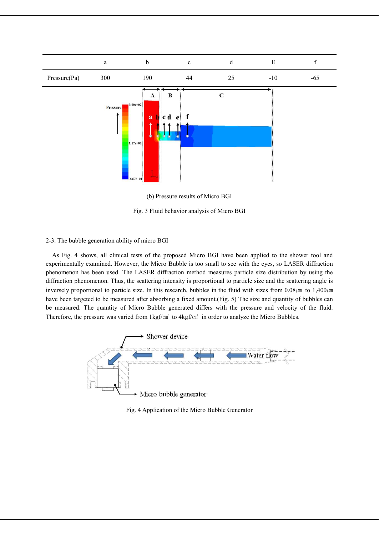

(b) Pressure results of Micro BGI

Fig. 3 Fluid behavior analysis of Micro BGI

## 2-3. The bubble generation ability of micro BGI

As Fig. 4 shows, all clinical tests of the proposed Micro BGI have been applied to the shower tool and experimentally examined. However, the Micro Bubble is too small to see with the eyes, so LASER diffraction phenomenon has been used. The LASER diffraction method measures particle size distribution by using the diffraction phenomenon. Thus, the scattering intensity is proportional to particle size and the scattering angle is inversely proportional to particle size. In this research, bubbles in the fluid with sizes from  $0.08/\text{cm}$  to  $1,400/\text{cm}$ have been targeted to be measured after absorbing a fixed amount.(Fig. 5) The size and quantity of bubbles can be measured. The quantity of Micro Bubble generated differs with the pressure and velocity of the fluid. Therefore, the pressure was varied from 1kgf/cm<sup>2</sup> to 4kgf/cm<sup>2</sup> in order to analyze the Micro Bubbles.



Fig. 4 Application of the Micro Bubble Generator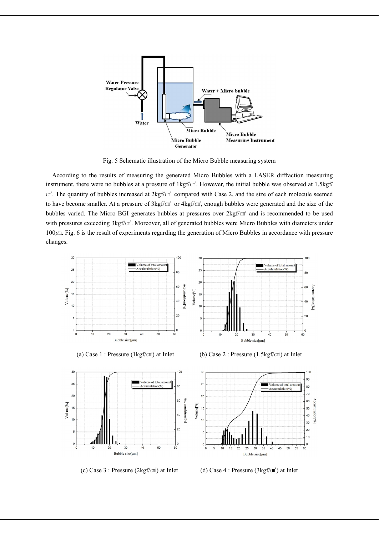

Fig. 5 Schematic illustration of the Micro Bubble measuring system

According to the results of measuring the generated Micro Bubbles with a LASER diffraction measuring instrument, there were no bubbles at a pressure of  $1 \text{kgf/cm}^2$ . However, the initial bubble was observed at 1.5kgf/ cm<sup>2</sup>. The quantity of bubbles increased at  $2kgf/cm<sup>2</sup>$  compared with Case 2, and the size of each molecule seemed to have become smaller. At a pressure of  $3kgf/cm^2$  or  $4kgf/cm^2$ , enough bubbles were generated and the size of the bubbles varied. The Micro BGI generates bubbles at pressures over  $2kgf/cm<sup>2</sup>$  and is recommended to be used with pressures exceeding  $3kgf/cm^2$ . Moreover, all of generated bubbles were Micro Bubbles with diameters under 100㎛. Fig. 6 is the result of experiments regarding the generation of Micro Bubbles in accordance with pressure changes.





 $3<sup>0</sup>$ 

 $\overline{2}$ 

 $\overline{20}$ 

 $16$ 

 $\overline{10}$ 

 $\mathbf{0}$ 

Volume<sup>[%]</sup>

(a) Case 1 : Pressure ( $1 \text{ kgf/cm}^2$ ) at Inlet (b) Case 2 : Pressure ( $1.5 \text{ kgf/cm}^2$ ) at Inlet

100





(c) Case 3 : Pressure (2kgf/㎠) at Inlet (d) Case 4 : Pressure (3kgf/㎠) at Inlet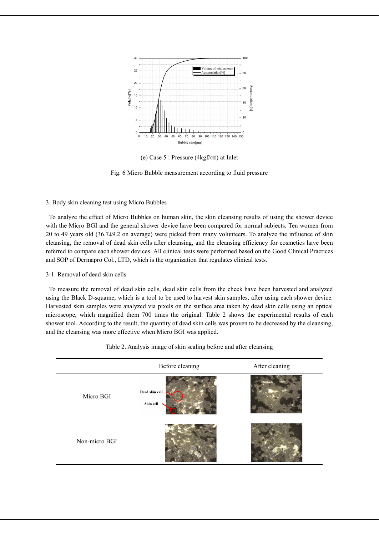

(e) Case 5 : Pressure (4kgf/㎠) at Inlet

Fig. 6 Micro Bubble measurement according to fluid pressure

# 3. Body skin cleaning test using Micro Bubbles

To analyze the effect of Micro Bubbles on human skin, the skin cleansing results of using the shower device with the Micro BGI and the general shower device have been compared for normal subjects. Ten women from 20 to 49 years old (36.7±9.2 on average) were picked from many volunteers. To analyze the influence of skin cleansing, the removal of dead skin cells after cleansing, and the cleansing efficiency for cosmetics have been referred to compare each shower devices. All clinical tests were performed based on the Good Clinical Practices and SOP of Dermapro Col., LTD, which is the organization that regulates clinical tests.

## 3-1. Removal of dead skin cells

To measure the removal of dead skin cells, dead skin cells from the cheek have been harvested and analyzed using the Black D-squame, which is a tool to be used to harvest skin samples, after using each shower device. Harvested skin samples were analyzed via pixels on the surface area taken by dead skin cells using an optical microscope, which magnified them 700 times the original. Table 2 shows the experimental results of each shower tool. According to the result, the quantity of dead skin cells was proven to be decreased by the cleansing, and the cleansing was more effective when Micro BGI was applied.

|               | Before cleaning             | After cleaning |
|---------------|-----------------------------|----------------|
| Micro BGI     | Dead skin cell<br>Skin cell |                |
| Non-micro BGI |                             |                |

Table 2. Analysis image of skin scaling before and after cleansing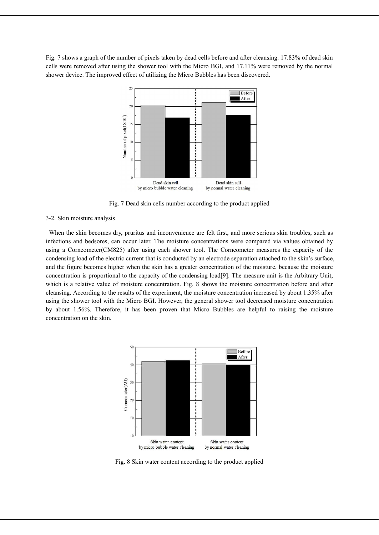Fig. 7 shows a graph of the number of pixels taken by dead cells before and after cleansing. 17.83% of dead skin cells were removed after using the shower tool with the Micro BGI, and 17.11% were removed by the normal shower device. The improved effect of utilizing the Micro Bubbles has been discovered.



Fig. 7 Dead skin cells number according to the product applied

#### 3-2. Skin moisture analysis

When the skin becomes dry, pruritus and inconvenience are felt first, and more serious skin troubles, such as infections and bedsores, can occur later. The moisture concentrations were compared via values obtained by using a Corneometer(CM825) after using each shower tool. The Corneometer measures the capacity of the condensing load of the electric current that is conducted by an electrode separation attached to the skin's surface, and the figure becomes higher when the skin has a greater concentration of the moisture, because the moisture concentration is proportional to the capacity of the condensing load[9]. The measure unit is the Arbitrary Unit, which is a relative value of moisture concentration. Fig. 8 shows the moisture concentration before and after cleansing. According to the results of the experiment, the moisture concentration increased by about 1.35% after using the shower tool with the Micro BGI. However, the general shower tool decreased moisture concentration by about 1.56%. Therefore, it has been proven that Micro Bubbles are helpful to raising the moisture concentration on the skin.



Fig. 8 Skin water content according to the product applied